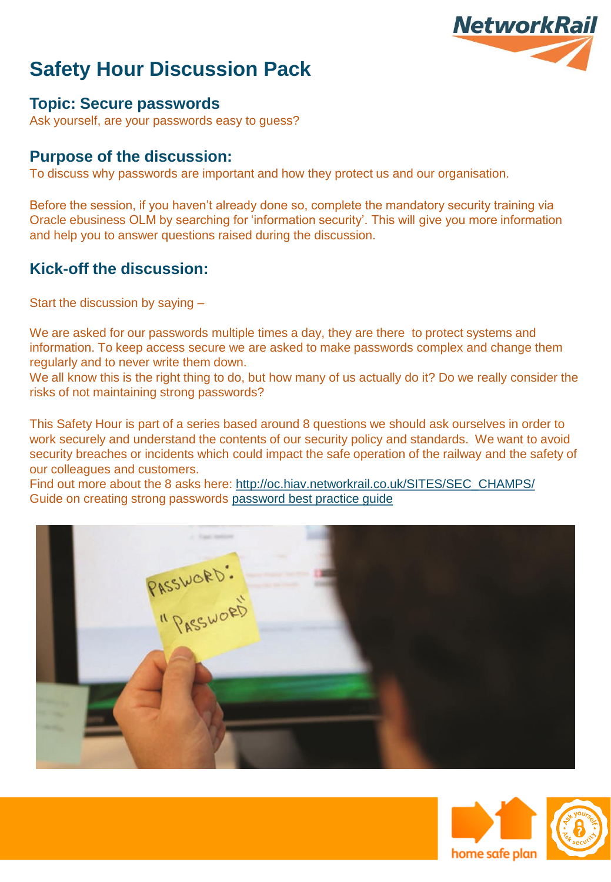

### **Topic: Secure passwords**

Ask yourself, are your passwords easy to guess?

### **Purpose of the discussion:**

To discuss why passwords are important and how they protect us and our organisation.

Before the session, if you haven't already done so, complete the mandatory security training via Oracle ebusiness OLM by searching for 'information security'. This will give you more information and help you to answer questions raised during the discussion.

### **Kick-off the discussion:**

Start the discussion by saying –

We are asked for our passwords multiple times a day, they are there to protect systems and information. To keep access secure we are asked to make passwords complex and change them regularly and to never write them down.

We all know this is the right thing to do, but how many of us actually do it? Do we really consider the risks of not maintaining strong passwords?

This Safety Hour is part of a series based around 8 questions we should ask ourselves in order to work securely and understand the contents of our security policy and standards. We want to avoid security breaches or incidents which could impact the safe operation of the railway and the safety of our colleagues and customers.

Find out more about the 8 asks here: [http://oc.hiav.networkrail.co.uk/SITES/SEC\\_CHAMPS/](http://oc.hiav.networkrail.co.uk/SITES/SEC_CHAMPS/) Guide on creating strong passwords [password best practice guide](http://oc.hiav.networkrail.co.uk/sites/sec_champs/protect/Protect our railway worksheets/Strong and long passwords.pdf) 





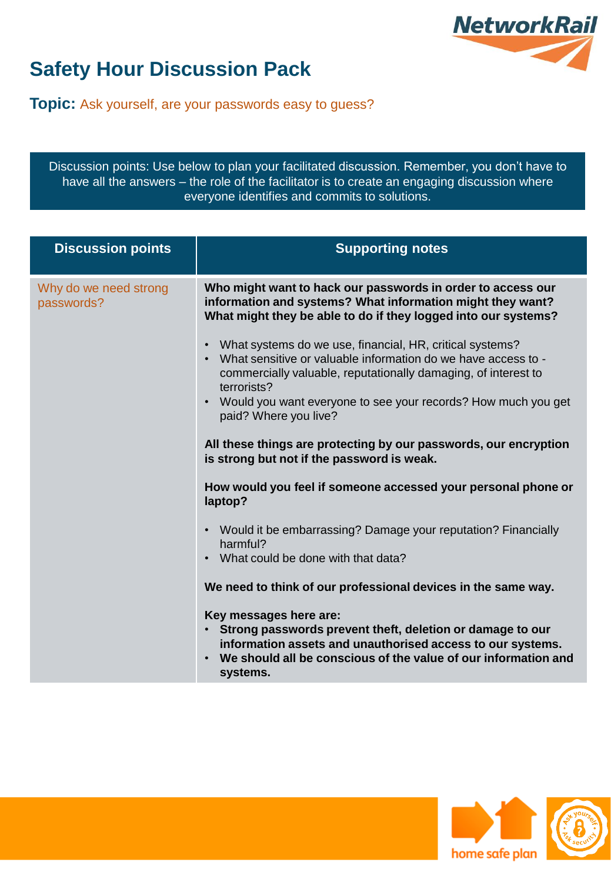

**Topic:** Ask yourself, are your passwords easy to guess?

Discussion points: Use below to plan your facilitated discussion. Remember, you don't have to have all the answers – the role of the facilitator is to create an engaging discussion where everyone identifies and commits to solutions.

| <b>Discussion points</b>            | <b>Supporting notes</b>                                                                                                                                                                                                                                                                              |
|-------------------------------------|------------------------------------------------------------------------------------------------------------------------------------------------------------------------------------------------------------------------------------------------------------------------------------------------------|
| Why do we need strong<br>passwords? | Who might want to hack our passwords in order to access our<br>information and systems? What information might they want?<br>What might they be able to do if they logged into our systems?                                                                                                          |
|                                     | What systems do we use, financial, HR, critical systems?<br>What sensitive or valuable information do we have access to -<br>commercially valuable, reputationally damaging, of interest to<br>terrorists?<br>Would you want everyone to see your records? How much you get<br>paid? Where you live? |
|                                     | All these things are protecting by our passwords, our encryption<br>is strong but not if the password is weak.                                                                                                                                                                                       |
|                                     | How would you feel if someone accessed your personal phone or<br>laptop?                                                                                                                                                                                                                             |
|                                     | Would it be embarrassing? Damage your reputation? Financially<br>$\bullet$<br>harmful?<br>What could be done with that data?                                                                                                                                                                         |
|                                     | We need to think of our professional devices in the same way.                                                                                                                                                                                                                                        |
|                                     | Key messages here are:<br>Strong passwords prevent theft, deletion or damage to our<br>information assets and unauthorised access to our systems.<br>We should all be conscious of the value of our information and<br>systems.                                                                      |



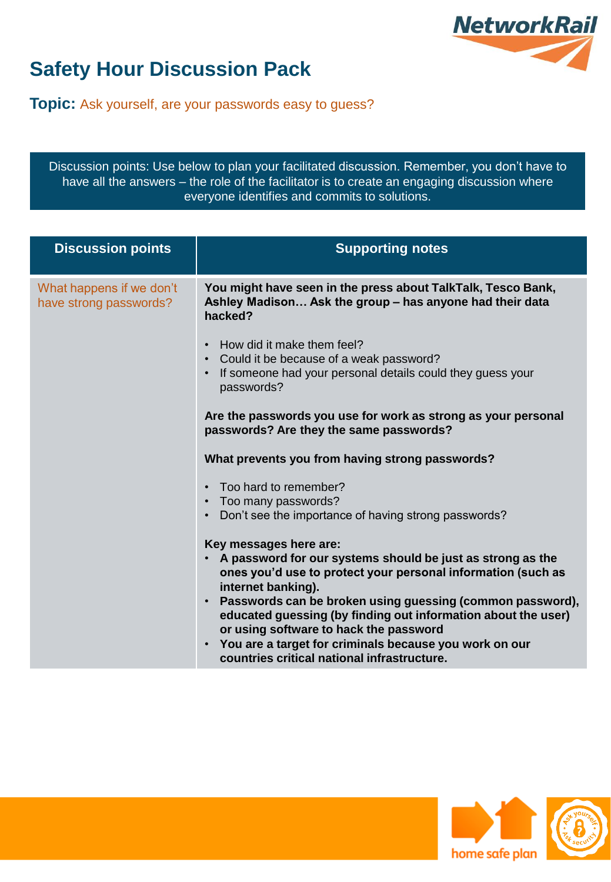

**Topic:** Ask yourself, are your passwords easy to guess?

Discussion points: Use below to plan your facilitated discussion. Remember, you don't have to have all the answers – the role of the facilitator is to create an engaging discussion where everyone identifies and commits to solutions.

| <b>Discussion points</b>                           | <b>Supporting notes</b>                                                                                                                                                                                                                                                                                                                                                                                                                                       |
|----------------------------------------------------|---------------------------------------------------------------------------------------------------------------------------------------------------------------------------------------------------------------------------------------------------------------------------------------------------------------------------------------------------------------------------------------------------------------------------------------------------------------|
| What happens if we don't<br>have strong passwords? | You might have seen in the press about TalkTalk, Tesco Bank,<br>Ashley Madison Ask the group - has anyone had their data<br>hacked?                                                                                                                                                                                                                                                                                                                           |
|                                                    | How did it make them feel?<br>Could it be because of a weak password?<br>If someone had your personal details could they guess your<br>passwords?                                                                                                                                                                                                                                                                                                             |
|                                                    | Are the passwords you use for work as strong as your personal<br>passwords? Are they the same passwords?                                                                                                                                                                                                                                                                                                                                                      |
|                                                    | What prevents you from having strong passwords?                                                                                                                                                                                                                                                                                                                                                                                                               |
|                                                    | Too hard to remember?<br>Too many passwords?<br>$\bullet$<br>Don't see the importance of having strong passwords?                                                                                                                                                                                                                                                                                                                                             |
|                                                    | Key messages here are:<br>A password for our systems should be just as strong as the<br>ones you'd use to protect your personal information (such as<br>internet banking).<br>Passwords can be broken using guessing (common password),<br>educated guessing (by finding out information about the user)<br>or using software to hack the password<br>• You are a target for criminals because you work on our<br>countries critical national infrastructure. |



/